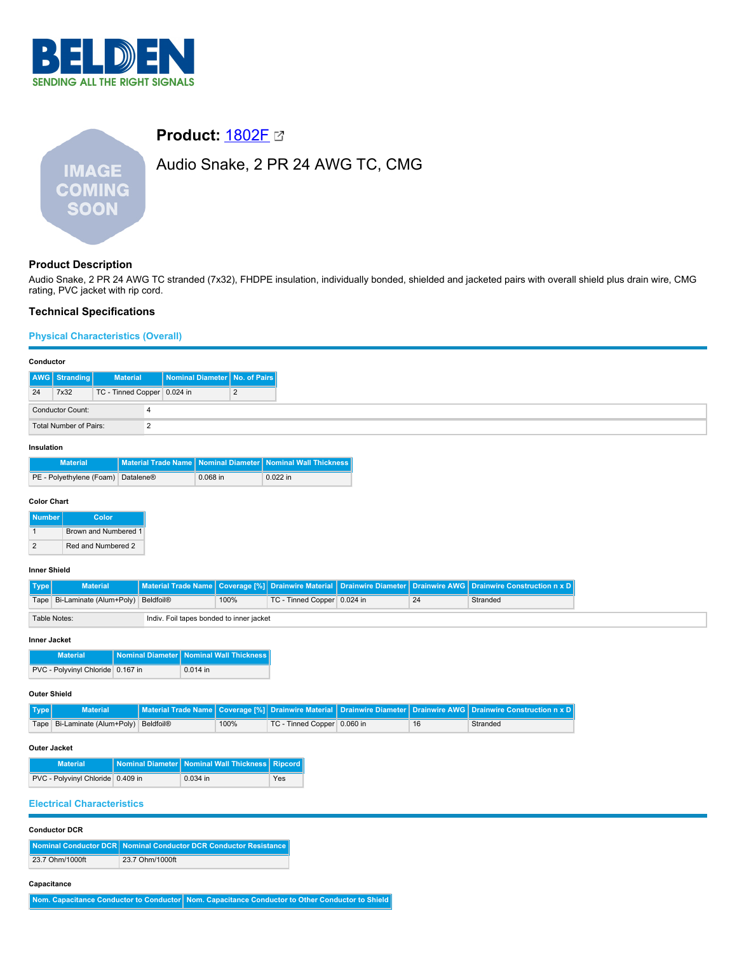

# **IMAGE COMING SOON**

# **Product: [1802F](https://catalog.belden.com/index.cfm?event=pd&p=PF_1802F&tab=downloads) 23**

# Audio Snake, 2 PR 24 AWG TC, CMG

# **Product Description**

Audio Snake, 2 PR 24 AWG TC stranded (7x32), FHDPE insulation, individually bonded, shielded and jacketed pairs with overall shield plus drain wire, CMG rating, PVC jacket with rip cord.

# **Technical Specifications**

# **Physical Characteristics (Overall)**

# **Conductor**

| AWG Stranding           | <b>Material</b>             | Nominal Diameter No. of Pairs |          |
|-------------------------|-----------------------------|-------------------------------|----------|
| 7x32<br>24              | TC - Tinned Copper 0.024 in |                               | <u>.</u> |
| <b>Conductor Count:</b> |                             |                               |          |
|                         | Total Number of Pairs:      |                               |          |
|                         |                             |                               |          |

# **Insulation**

| <b>Material</b>                    |            | │ Material Trade Name│Nominal Diameter│Nominal Wall Thickness│ |
|------------------------------------|------------|----------------------------------------------------------------|
| PE - Polyethylene (Foam) Datalene® | $0.068$ in | $0.022$ in                                                     |

# **Color Chart**

| <b>Number</b> |   | Color                |
|---------------|---|----------------------|
|               |   | Brown and Numbered 1 |
|               | 2 | Red and Numbered 2   |

# **Inner Shield**

| <b>Material</b>                                          |  |      |                             |    | Material Trade Name Coverage [%] Drainwire Material Drainwire Diameter Drainwire AWG Drainwire Construction n x D |
|----------------------------------------------------------|--|------|-----------------------------|----|-------------------------------------------------------------------------------------------------------------------|
| Tape   Bi-Laminate (Alum+Poly)   Beldfoil®               |  | 100% | TC - Tinned Copper 0.024 in | 24 | Stranded                                                                                                          |
| Table Notes:<br>Indiv. Foil tapes bonded to inner jacket |  |      |                             |    |                                                                                                                   |

#### **Inner Jacket**

| <b>Material</b>                   | Nominal Diameter   Nominal Wall Thickness |
|-----------------------------------|-------------------------------------------|
| PVC - Polyvinyl Chloride 0.167 in | $0.014$ in                                |

# **Outer Shield**

| Type | <b>Material</b>                        |      |                               |    | Material Trade Name   Coverage [%]   Drainwire Material   Drainwire Diameter   Drainwire AWG   Drainwire Construction n x D |
|------|----------------------------------------|------|-------------------------------|----|-----------------------------------------------------------------------------------------------------------------------------|
|      | Tape Bi-Laminate (Alum+Poly) Beldfoil® | 100% | TC - Tinned Copper   0.060 in | 16 | Stranded                                                                                                                    |

# **Outer Jacket**

| <b>Material</b>                   | Nominal Diameter   Nominal Wall Thickness   Ripcord |     |
|-----------------------------------|-----------------------------------------------------|-----|
| PVC - Polyvinyl Chloride 0.409 in | $0.034$ in                                          | Yes |

# **Electrical Characteristics**

| <b>Conductor DCR</b> |  |
|----------------------|--|
|----------------------|--|

|                 | Nominal Conductor DCR   Nominal Conductor DCR Conductor Resistance |
|-----------------|--------------------------------------------------------------------|
| 23.7 Ohm/1000ft | 23.7 Ohm/1000ft                                                    |

# **Capacitance**

**Nom. Capacitance Conductor to Conductor Nom. Capacitance Conductor to Other Conductor to Shield**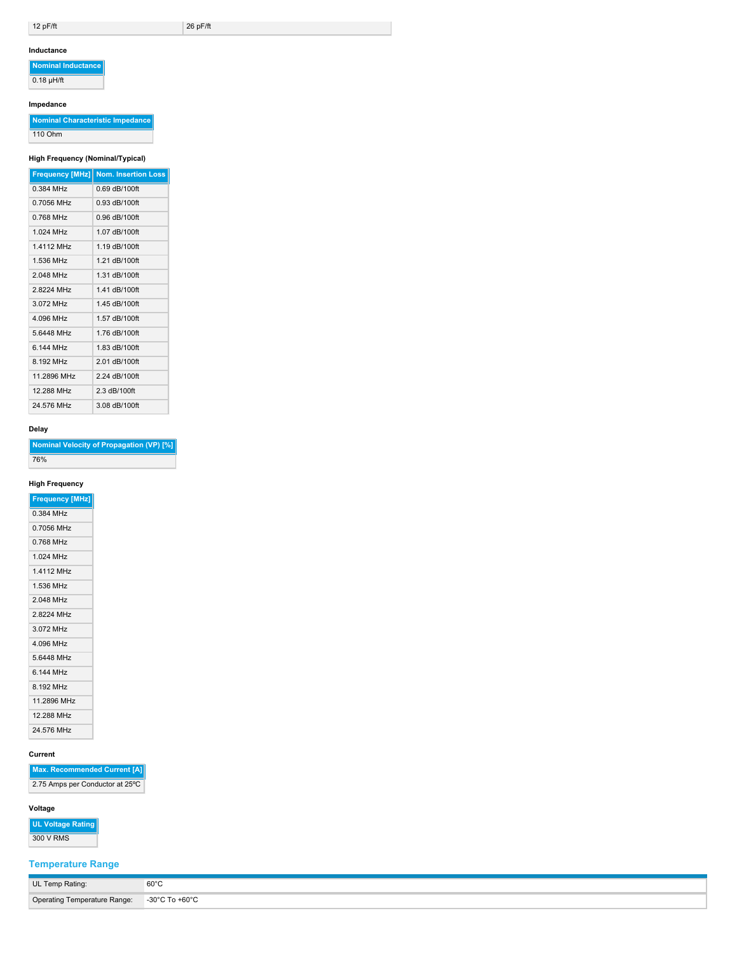$12 \text{ pF/ft}$   $26 \text{ pF/ft}$ 

### **Inductance**

**Nominal Inductance**  $\overline{0.18 \mu H/ft}$ 

# **Impedance**

**Nominal Characteristic Impedance** 110 Ohm

# **High Frequency (Nominal/Typical)**

| <b>Frequency [MHz]</b> | <b>Nom. Insertion Loss</b> |
|------------------------|----------------------------|
| 0.384 MHz              | $0.69$ dB/100ft            |
| 0.7056 MHz             | $0.93$ dB/100ft            |
| 0 768 MHz              | $0.96$ dB/100ft            |
| 1 024 MHz              | 1.07 dB/100ft              |
| 1 4112 MH <sub>7</sub> | 1 19 dB/100ft              |
| 1 536 MHz              | 1 21 dB/100ft              |
| 2 048 MHz              | 1.31 dB/100ft              |
| 28224 MHz              | 1.41 dB/100ft              |
| 3072 MHz               | 1.45 dB/100ft              |
| 4.096 MHz              | 1.57 dB/100ft              |
| 56448 MHz              | 1.76 dB/100ft              |
| 6 144 MHz              | 1.83 dB/100ft              |
| 8 192 MHz              | 2.01 dB/100ft              |
| 11 2896 MHz            | 2 24 dB/100ft              |
| 12.288 MHz             | 2.3 dB/100ft               |
| 24 576 MHz             | 3.08 dB/100ft              |

# **Delay**

| Nominal Velocity of Propagation (VP) [%] |  |
|------------------------------------------|--|
| 76%                                      |  |

# **High Frequency**

| <b>Frequency [MHz]</b> |
|------------------------|
| 0.384 MHz              |
| 0.7056 MHz             |
| 0.768 MHz              |
| 1024 MHz               |
| 1.4112 MHz             |
| 1 536 MHz              |
| 2 048 MHz              |
| 28224 MHz              |
| 3072 MHz               |
| 4 096 MHz              |
| 5.6448 MHz             |
| 6 144 MHz              |
| 8 192 MHz              |
| 11 2896 MHz            |
| 12 288 MHz             |
| 24.576 MHz             |

# **Current**

**Max. Recommended Current [A]** 2.75 Amps per Conductor at 25ºC

# **Voltage**

| <b>UL Voltage Rating</b> |  |
|--------------------------|--|
| $200 \text{ V}$ DMC      |  |

# 300 V RMS

| <b>Temperature Range</b> |  |  |
|--------------------------|--|--|
|                          |  |  |

| UL Temp Rating:                             | $60^{\circ}$ C |
|---------------------------------------------|----------------|
| Operating Temperature Range: -30°C To +60°C |                |